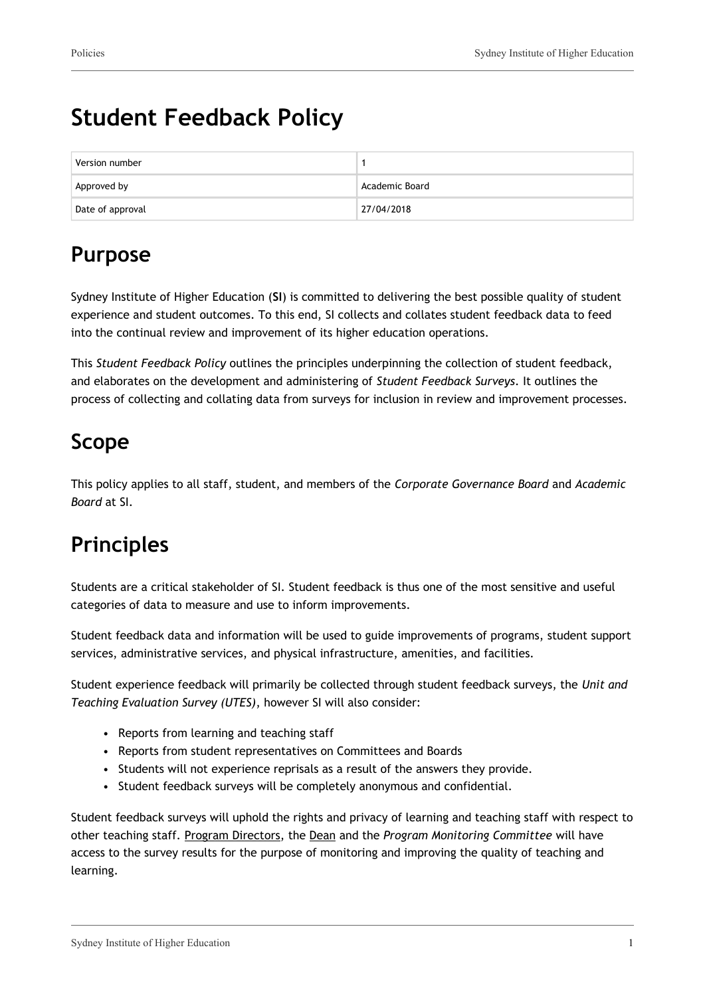# **Student Feedback Policy**

| Version number   |                |
|------------------|----------------|
| Approved by      | Academic Board |
| Date of approval | 27/04/2018     |

## **Purpose**

Sydney Institute of Higher Education (**SI**) is committed to delivering the best possible quality of student experience and student outcomes. To this end, SI collects and collates student feedback data to feed into the continual review and improvement of its higher education operations.

This *Student Feedback Policy* outlines the principles underpinning the collection of student feedback, and elaborates on the development and administering of *Student Feedback Surveys*. It outlines the process of collecting and collating data from surveys for inclusion in review and improvement processes.

# **Scope**

This policy applies to all staff, student, and members of the *Corporate Governance Board* and *Academic Board* at SI.

# **Principles**

Students are a critical stakeholder of SI. Student feedback is thus one of the most sensitive and useful categories of data to measure and use to inform improvements.

Student feedback data and information will be used to guide improvements of programs, student support services, administrative services, and physical infrastructure, amenities, and facilities.

Student experience feedback will primarily be collected through student feedback surveys, the *Unit and Teaching Evaluation Survey (UTES)*, however SI will also consider:

- Reports from learning and teaching staff
- Reports from student representatives on Committees and Boards
- Students will not experience reprisals as a result of the answers they provide.
- Student feedback surveys will be completely anonymous and confidential.

Student feedback surveys will uphold the rights and privacy of learning and teaching staff with respect to other teaching staff. Program Directors, the Dean and the *Program Monitoring Committee* will have access to the survey results for the purpose of monitoring and improving the quality of teaching and learning.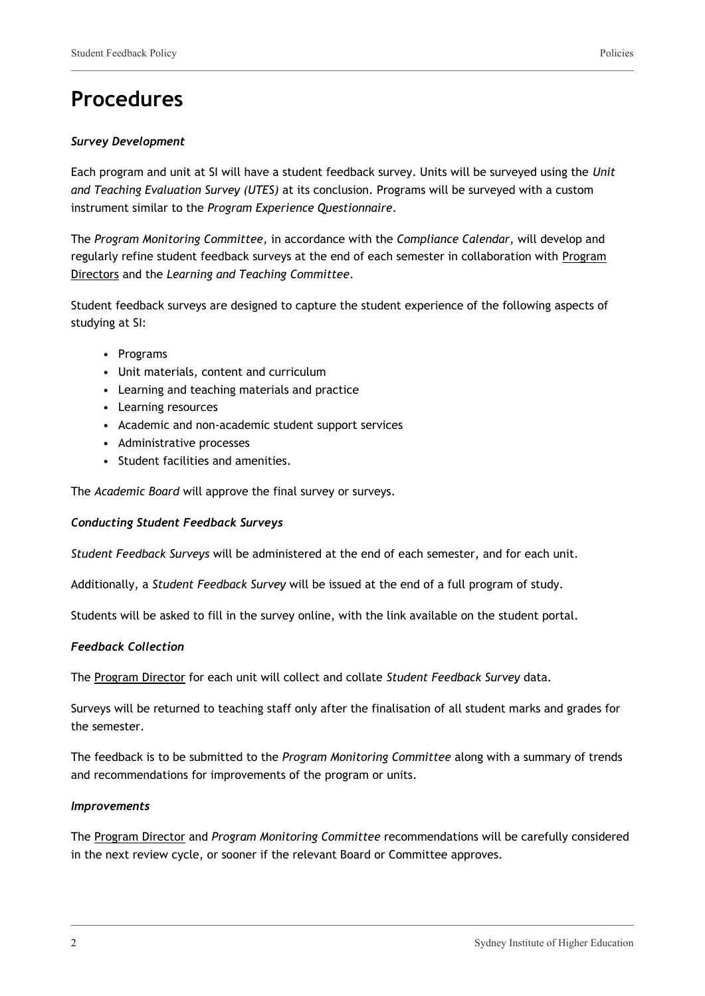### **Procedures**

#### *Survey Development*

Each program and unit at SI will have a student feedback survey. Units will be surveyed using the *Unit and Teaching Evaluation Survey (UTES)* at its conclusion. Programs will be surveyed with a custom instrument similar to the *Program Experience Questionnaire*.

The *Program Monitoring Committee,* in accordance with the *Compliance Calendar*, will develop and regularly refine student feedback surveys at the end of each semester in collaboration with Program Directors and the *Learning and Teaching Committee*.

Student feedback surveys are designed to capture the student experience of the following aspects of studying at SI:

- Programs
- Unit materials, content and curriculum
- Learning and teaching materials and practice
- Learning resources
- Academic and non-academic student support services
- Administrative processes
- Student facilities and amenities.

The *Academic Board* will approve the final survey or surveys.

#### *Conducting Student Feedback Surveys*

*Student Feedback Surveys* will be administered at the end of each semester, and for each unit.

Additionally, a *Student Feedback Survey* will be issued at the end of a full program of study.

Students will be asked to fill in the survey online, with the link available on the student portal.

#### *Feedback Collection*

The Program Director for each unit will collect and collate *Student Feedback Survey* data.

Surveys will be returned to teaching staff only after the finalisation of all student marks and grades for the semester.

The feedback is to be submitted to the *Program Monitoring Committee* along with a summary of trends and recommendations for improvements of the program or units.

#### *Improvements*

The Program Director and *Program Monitoring Committee* recommendations will be carefully considered in the next review cycle, or sooner if the relevant Board or Committee approves.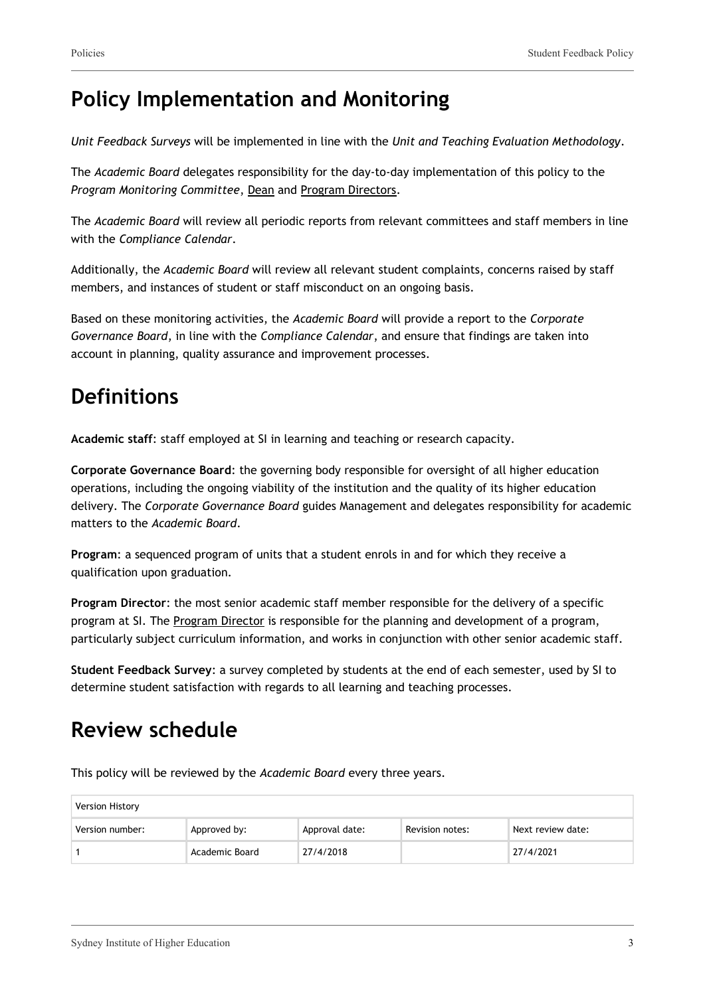### **Policy Implementation and Monitoring**

*Unit Feedback Surveys* will be implemented in line with the *Unit and Teaching Evaluation Methodology*.

The *Academic Board* delegates responsibility for the day-to-day implementation of this policy to the *Program Monitoring Committee*, Dean and Program Directors.

The *Academic Board* will review all periodic reports from relevant committees and staff members in line with the *Compliance Calendar*.

Additionally, the *Academic Board* will review all relevant student complaints, concerns raised by staff members, and instances of student or staff misconduct on an ongoing basis.

Based on these monitoring activities, the *Academic Board* will provide a report to the *Corporate Governance Board*, in line with the *Compliance Calendar*, and ensure that findings are taken into account in planning, quality assurance and improvement processes.

## **Definitions**

**Academic staff**: staff employed at SI in learning and teaching or research capacity.

**Corporate Governance Board**: the governing body responsible for oversight of all higher education operations, including the ongoing viability of the institution and the quality of its higher education delivery. The *Corporate Governance Board* guides Management and delegates responsibility for academic matters to the *Academic Board*.

**Program**: a sequenced program of units that a student enrols in and for which they receive a qualification upon graduation.

**Program Director**: the most senior academic staff member responsible for the delivery of a specific program at SI. The Program Director is responsible for the planning and development of a program, particularly subject curriculum information, and works in conjunction with other senior academic staff.

**Student Feedback Survey**: a survey completed by students at the end of each semester, used by SI to determine student satisfaction with regards to all learning and teaching processes.

### **Review schedule**

| <b>Version History</b> |                |                |                 |                   |
|------------------------|----------------|----------------|-----------------|-------------------|
| Version number:        | Approved by:   | Approval date: | Revision notes: | Next review date: |
|                        | Academic Board | 27/4/2018      |                 | 27/4/2021         |

This policy will be reviewed by the *Academic Board* every three years.